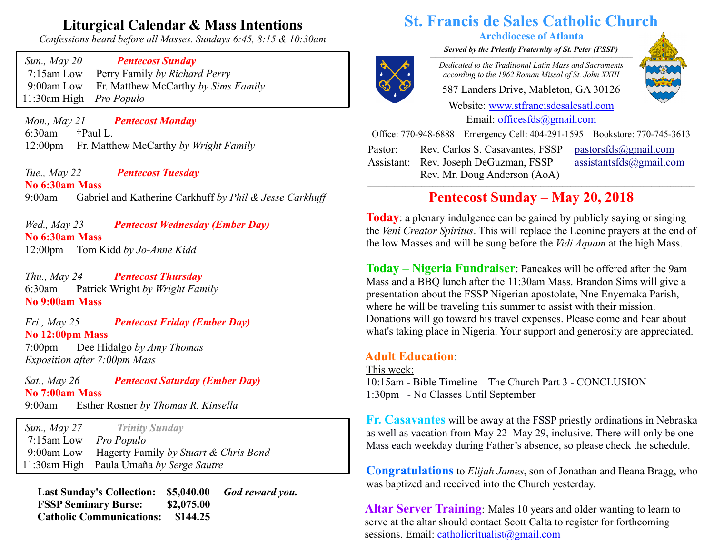# **Liturgical Calendar & Mass Intentions**

*Confessions heard before all Masses. Sundays 6:45, 8:15 & 10:30am*

 *Sun., May 20 Pentecost Sunday* 7:15am Low Perry Family *by Richard Perry* 9:00am Low Fr. Matthew McCarthy *by Sims Family* 11:30am High *Pro Populo*

 *Mon., May 21 Pentecost Monday* 6:30am †Paul L. 12:00pm Fr. Matthew McCarthy *by Wright Family*

 *Tue., May 22 Pentecost Tuesday* **No 6:30am Mass** 9:00am Gabriel and Katherine Carkhuff *by Phil & Jesse Carkhuff*

 *Wed., May 23 Pentecost Wednesday (Ember Day)* **No 6:30am Mass** 12:00pm Tom Kidd *by Jo-Anne Kidd*

 *Thu., May 24 Pentecost Thursday*  6:30am Patrick Wright *by Wright Family* **No 9:00am Mass**

 *Fri., May 25 Pentecost Friday (Ember Day)* **No 12:00pm Mass** 7:00pm Dee Hidalgo *by Amy Thomas Exposition after 7:00pm Mass*

 *Sat., May 26 Pentecost Saturday (Ember Day)* **No 7:00am Mass** 9:00am Esther Rosner *by Thomas R. Kinsella*

 *Sun., May 27 Trinity Sunday* 7:15am Low *Pro Populo* 9:00am Low Hagerty Family *by Stuart & Chris Bond* 11:30am High Paula Umaña *by Serge Sautre*

 **Last Sunday's Collection: \$5,040.00** *God reward you.* **FSSP Seminary Burse:** \$2,075.00  **Catholic Communications: \$144.25**

# **St. Francis de Sales Catholic Church**

#### **Archdiocese of Atlanta**

*Served by the Priestly Fraternity of St. Peter (FSSP)*  $\overline{a}$   $\overline{a}$   $\overline{a}$   $\overline{a}$   $\overline{a}$   $\overline{a}$   $\overline{a}$   $\overline{a}$   $\overline{a}$   $\overline{a}$   $\overline{a}$   $\overline{a}$   $\overline{a}$   $\overline{a}$   $\overline{a}$   $\overline{a}$   $\overline{a}$   $\overline{a}$   $\overline{a}$   $\overline{a}$   $\overline{a}$   $\overline{a}$   $\overline{a}$   $\overline{a}$   $\overline{$ 

*Dedicated to the Traditional Latin Mass and Sacraments according to the 1962 Roman Missal of St. John XXIII*

587 Landers Drive, Mableton, GA 30126

Website: [www.stfrancisdesalesatl.com](http://www.stfrancisdesalesatl.com/) Email: [officesfds@gmail.com](mailto:officesfds@gmail.com)

Office: 770-948-6888 Emergency Cell: 404-291-1595 Bookstore: 770-745-3613

Pastor: Assistant: Rev. Joseph DeGuzman, FSSP Rev. Carlos S. Casavantes, FSSP Rev. Mr. Doug Anderson (AoA)

 [pastorsfds@gmail.com](mailto:pastorsfds@gmail.com) [assistantsfds@gmail.com](mailto:assistantsfds@gmail.com)

# **Pentecost Sunday – May 20, 2018 \_\_\_\_\_\_\_\_\_\_\_\_\_\_\_\_\_\_\_\_\_\_\_\_\_\_\_\_\_\_\_\_\_\_\_\_\_\_\_\_\_\_\_\_\_\_\_\_\_\_\_\_\_\_\_\_\_\_\_\_\_\_\_\_\_\_\_\_\_\_\_\_\_\_\_\_\_\_\_\_\_\_\_\_\_\_\_\_\_\_\_\_\_\_\_\_\_\_\_\_\_\_\_\_\_\_\_\_\_\_\_\_\_\_\_\_\_\_\_\_\_**

**Today**: a plenary indulgence can be gained by publicly saying or singing the *Veni Creator Spiritus*. This will replace the Leonine prayers at the end of the low Masses and will be sung before the *Vidi Aquam* at the high Mass.

**Today – Nigeria Fundraiser**: Pancakes will be offered after the 9am Mass and a BBQ lunch after the 11:30am Mass. Brandon Sims will give a presentation about the FSSP Nigerian apostolate, Nne Enyemaka Parish, where he will be traveling this summer to assist with their mission. Donations will go toward his travel expenses. Please come and hear about what's taking place in Nigeria. Your support and generosity are appreciated.

### **Adult Education**:

This week: 10:15am - Bible Timeline – The Church Part 3 - CONCLUSION 1:30pm - No Classes Until September

**Fr. Casavantes** will be away at the FSSP priestly ordinations in Nebraska as well as vacation from May 22–May 29, inclusive. There will only be one Mass each weekday during Father's absence, so please check the schedule.

**Congratulations** to *Elijah James*, son of Jonathan and Ileana Bragg, who was baptized and received into the Church yesterday.

**Altar Server Training**: Males 10 years and older wanting to learn to serve at the altar should contact Scott Calta to register for forthcoming sessions. Email: [catholicritualist@gmail.com](mailto:catholicritualist@gmail.com)